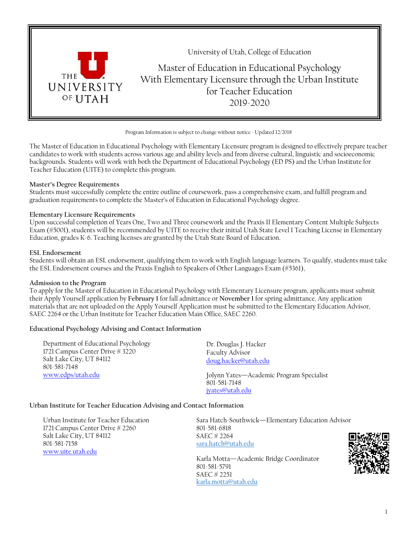

Program Information is subject to change without notice - Updated 12/2018

The Master of Education in Educational Psychology with Elementary Licensure program is designed to effectively prepare teacher candidates to work with students across various age and ability levels and from diverse cultural, linguistic and socioeconomic backgrounds. Students will work with both the Department of Educational Psychology (ED PS) and the Urban Institute for Teacher Education (UITE) to complete this program.

#### **Master's Degree Requirements**

Students must successfully complete the entire outline of coursework, pass a comprehensive exam, and fulfill program and graduation requirements to complete the Master's of Education in Educational Psychology degree.

#### **Elementary Licensure Requirements**

Upon successful completion of Years One, Two and Three coursework and the Praxis II Elementary Content Multiple Subjects Exam (#5001), students will be recommended by UITE to receive their initial Utah State Level I Teaching License in Elementary Education, grades K-6. Teaching licenses are granted by the Utah State Board of Education.

#### **ESL Endorsement**

Students will obtain an ESL endorsement, qualifying them to work with English language learners. To qualify, students must take the ESL Endorsement courses and the Praxis English to Speakers of Other Languages Exam (#5361),

#### **Admission to the Program**

To apply for the Master of Education in Educational Psychology with Elementary Licensure program, applicants must submit their Apply Yourself application by **February 1** for fall admittance or **November 1** for spring admittance. Any application materials that are not uploaded on the Apply Yourself Application must be submitted to the Elementary Education Advisor, SAEC 2264 or the Urban Institute for Teacher Education Main Office, SAEC 2260.

### **Educational Psychology Advising and Contact Information**

| Department of Educational Psychology<br>1721 Campus Center Drive # 3220<br>Salt Lake City, UT 84112<br>801-581-7148 | Dr. Douglas J. Hacker<br><b>Faculty Advisor</b><br>doug.hacker@utah.edu     |
|---------------------------------------------------------------------------------------------------------------------|-----------------------------------------------------------------------------|
| www.edps/utah.edu                                                                                                   | Jolynn Yates-Academic Program Specialist<br>801-581-7148<br>jyates@utah.edu |

#### **Urban Institute for Teacher Education Advising and Contact Information**

Urban Institute for Teacher Education 1721 Campus Center Drive # 2260 Salt Lake City, UT 84112 801-581-7158 [www.uite.utah.edu](http://www.uite.utah.edu/)

Sara Hatch-Southwick—Elementary Education Advisor 801-581-6818 SAEC # 2264 [sara.hatch@utah.edu](mailto:sara.hatch@utah.edu)

Karla Motta—Academic Bridge Coordinator 801-581-5791 SAEC # 2251 [karla.motta@utah.edu](mailto:karla.motta@utah.edu)

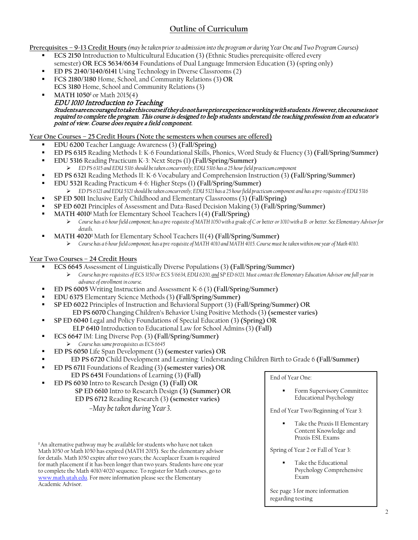# **Outline of Curriculum**

**Prerequisites – 9-13 Credit Hours** *(may be taken prior to admission into the program or during Year One and Two Program Courses)*

- **ECS 2150** Introduction to Multicultural Education (3) (Ethnic Studies prerequisite-offered every semester) **OR ECS 5634/6634** Foundations of Dual Language Immersion Education (3) (spring only)
- **ED PS 2140/3140/6141** Using Technology in Diverse Classrooms (2)
- **FCS 2180/3180** Home, School, and Community Relations (3) **OR**
- **ECS 3180** Home, School and Community Relations(3) **MATH 1050<sup>‡</sup> or Math 2015(4)** 
	- EDU 1010 Introduction to Teaching<br>Students are encouraged to take this course if they donot have prior experience working with students. However, the course is not required to complete the program. This course is designed to help students understand the teaching profession from an educator's point of view. Course does require a field component.

# **Year One Courses – 25 Credit Hours (Note the semesters when courses are offered)**

- **EDU 6200** Teacher Language Awareness (3) **(Fall/Spring)**
- **ED PS 6315** Reading Methods I: K-6 Foundational Skills, Phonics, Word Study & Fluency (3) **(Fall/Spring/Summer)**
- **EDU 5316** Reading Practicum K-3: Next Steps (1) **(Fall/Spring/Summer)** *ED PS 6315 and EDU 5316 should be taken concurrently; EDU 5316 has a 25 hour field practicumcomponent*
- **ED PS 6321** Reading Methods II: K-6 Vocabulary and Comprehension Instruction (3) **(Fall/Spring/Summer)**
- **EDU 5321** Reading Practicum 4-6: Higher Steps (1) **(Fall/Spring/Summer)**
	- > ED PS 6321 and EDU 5321 should be taken concurrently; EDU 5321 has a 25 hour field practicum component and has a pre-requisite of EDU 5316
- **SP ED 5011** Inclusive Early Childhood and Elementary Classrooms (3) **(Fall/Spring)**
- **SP ED 6021** Principles of Assessment and Data-Based Decision Making (3) **(Fall/Spring/Summer)**
- **MATH 4010‡** Math for Elementary School Teachers I(4) **(Fall/Spring)**
	- *Course has a 6 hour field component; has a pre-requisite of MATH 1050 with a grade of C or better or 1010 with a B- or better. See Elementary Advisor for details.*
	- **MATH 4020‡** Math for Elementary School Teachers II(4) **(Fall/Spring/Summer)**
		- *Course has a 6 hourfield component; has a pre-requisite ofMATH 4010 and MATH4015. Course must betakenwithin one year of Math 4010.*

# **Year Two Courses – 24 Credit Hours**

- **ECS 6645** Assessment of Linguistically Diverse Populations (3) **(Fall/Spring/Summer)**
	- *Course has pre-requisites of ECS 3150 or ECS 5/6634, EDU 6200, and SP ED 6021. Must contact the Elementary Education Advisor one full yearin advance of enrollment in course.*
- **ED PS 6005** Writing Instruction and Assessment K-6 (3) **(Fall/Spring/Summer)**
- **EDU 6375** Elementary Science Methods(3) **(Fall/Spring/Summer)**
- **SP ED 6022** Principles of Instruction and Behavioral Support (3) (**Fall/Spring/Summer) OR ED PS 6070** Changing Children's Behavior Using Positive Methods(3) **(semester varies)**
- **SP ED 6040** Legal and Policy Foundations of Special Education (3) **(Spring) OR ELP 6410** Introduction to Educational Law for School Admins(3) **(Fall)**
- **ECS 6647** IM: Ling Diverse Pop. (3) **(Fall/Spring/Summer)** *Course has same prerequisites as ECS 6645*
- **ED PS 6050** Life Span Development (3) **(semester varies) OR**
- **ED PS 6720** Child Development and Learning: Understanding Children Birth to Grade 6 **(Fall/Summer)**
- **ED PS 6711** Foundations of Reading (3) **(semester varies) OR ED PS 6451** Foundations of Learning (3) **(Fall)**
- **ED PS 6030** Intro to Research Design **(3) (Fall) OR SP ED 6610** Intro to Research Design **(3) (Summer) OR**

 **ED PS 6712** Reading Research (3) **(semester varies)**

# –*May be taken during Year3*.

**‡** An alternative pathway may be available for students who have not taken Math 1050 or Math 1050 has expired (MATH 2015). See the elementary advisor for details. Math 1050 expire after two years; the Accuplacer Exam is required for math placement if it has been longer than two years. Students have one year to complete the Math 4010/4020 sequence. To register for Math courses, go to [www.math.utah.edu. F](http://www.math.utah.edu/)or more information please see the Elementary Academic Advisor.

End of Year One:

 Form Supervisory Committee Educational Psychology

End of Year Two/Beginning of Year 3:

 Take the Praxis II Elementary Content Knowledge and Praxis ESL Exams

Spring of Year 2 or Fall of Year 3:

 Take the Educational Psychology Comprehensive Exam

See page 3 for more information regarding testing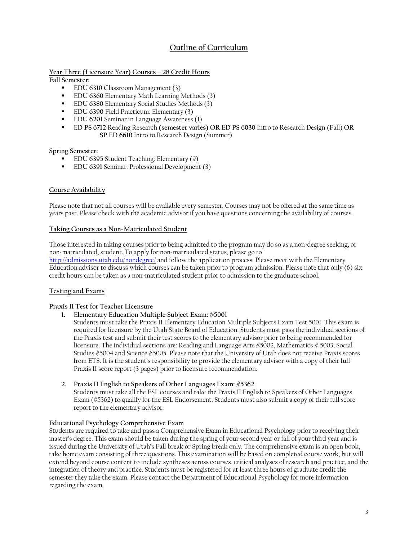# **Outline of Curriculum**

**Year Three (Licensure Year) Courses – 28 Credit Hours**

**Fall Semester:**

- **EDU 6310 Classroom Management (3)**
- **EDU 6360 Elementary Math Learning Methods (3)**
- **EDU 6380 Elementary Social Studies Methods (3)**
- **EDU 6390 Field Practicum: Elementary (3)**
- **EDU 6201** Seminar in Language Awareness (1)
- **ED PS 6712** Reading Research **(semester varies) OR ED PS 6030** Intro to Research Design (Fall) **OR SP ED 6610** Intro to Research Design (Summer)

**Spring Semester:**

- **EDU 6395** Student Teaching: Elementary (9)
- **EDU 6391 Seminar: Professional Development (3)**

#### **Course Availability**

Please note that not all courses will be available every semester. Courses may not be offered at the same time as years past. Please check with the academic advisor if you have questions concerning the availability of courses.

#### **Taking Courses as a Non-Matriculated Student**

Those interested in taking courses prior to being admitted to the program may do so as a non-degree seeking, or non-matriculated, student. To apply for non-matriculated status, please go to <http://admissions.utah.edu/nondegree/> and follow the application process. Please meet with the Elementary

Education advisor to discuss which courses can be taken prior to program admission. Please note that only (6) six credit hours can be taken as a non-matriculated student prior to admission to the graduate school.

#### **Testing and Exams**

#### **Praxis II Test for Teacher Licensure**

**1. Elementary Education Multiple Subject Exam: #5001**

Students must take the Praxis II Elementary Education Multiple Subjects Exam Test 5001. This exam is required for licensure by the Utah State Board of Education. Students must pass the individual sections of the Praxis test and submit their test scores to the elementary advisor prior to being recommended for licensure. The individual sections are: Reading and Language Arts #5002, Mathematics # 5003, Social Studies #5004 and Science #5005. Please note that the University of Utah does not receive Praxis scores from ETS. It is the student's responsibility to provide the elementary advisor with a copy of their full Praxis II score report (3 pages) prior to licensure recommendation.

#### **2. Praxis II English to Speakers of Other Languages Exam: #5362**

Students must take all the ESL courses and take the Praxis II English to Speakers of Other Languages Exam (#5362) to qualify for the ESL Endorsement. Students must also submit a copy of their full score report to the elementary advisor.

#### **Educational Psychology Comprehensive Exam**

Students are required to take and pass a Comprehensive Exam in Educational Psychology prior to receiving their master's degree. This exam should be taken during the spring of your second year or fall of your third year and is issued during the University of Utah's Fall break or Spring break only. The comprehensive exam is an open book, take home exam consisting of three questions. This examination will be based on completed course work, but will extend beyond course content to include syntheses across courses, critical analyses of research and practice, and the integration of theory and practice. Students must be registered for at least three hours of graduate credit the semester they take the exam. Please contact the Department of Educational Psychology for more information regarding the exam.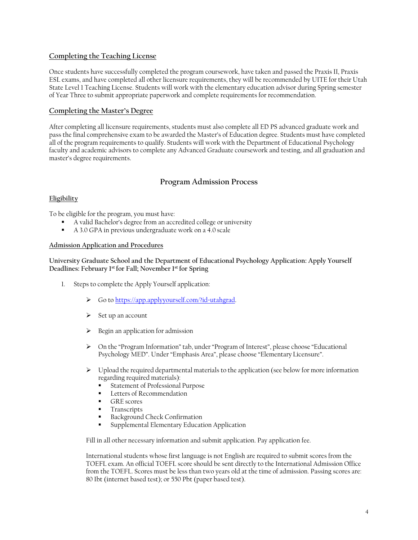### **Completing the Teaching License**

Once students have successfully completed the program coursework, have taken and passed the Praxis II, Praxis ESL exams, and have completed all other licensure requirements, they will be recommended by UITE for their Utah State Level 1 Teaching License. Students will work with the elementary education advisor during Spring semester of Year Three to submit appropriate paperwork and complete requirements for recommendation.

### **Completing the Master's Degree**

After completing all licensure requirements, students must also complete all ED PS advanced graduate work and pass the final comprehensive exam to be awarded the Master's of Education degree. Students must have completed all of the program requirements to qualify. Students will work with the Department of Educational Psychology faculty and academic advisors to complete any Advanced Graduate coursework and testing, and all graduation and master's degree requirements.

# **Program Admission Process**

### **Eligibility**

To be eligible for the program, you must have:

- A valid Bachelor's degree from an accredited college or university
- A 3.0 GPA in previous undergraduate work on a 4.0 scale

#### **Admission Application and Procedures**

**University Graduate School and the Department of Educational Psychology Application: Apply Yourself Deadlines: February 1st for Fall; November 1st for Spring**

- 1. Steps to complete the Apply Yourself application:
	- Go to [https://app.applyyourself.com/?id=utahgrad.](https://app.applyyourself.com/?id=utahgrad)
	- $\triangleright$  Set up an account
	- $\triangleright$  Begin an application for admission
	- $\triangleright$  On the "Program Information" tab, under "Program of Interest", please choose "Educational Psychology MED". Under "Emphasis Area", please choose "Elementary Licensure".
	- $\triangleright$  Upload the required departmental materials to the application (see below for more information regarding required materials):
		- Statement of Professional Purpose
		- **Letters of Recommendation**
		- GRE scores
		- **Transcripts**
		- Background Check Confirmation
		- Supplemental Elementary Education Application

Fill in all other necessary information and submit application. Pay application fee.

International students whose first language is not English are required to submit scores from the TOEFL exam. An official TOEFL score should be sent directly to the International Admission Office from the TOEFL. Scores must be less than two years old at the time of admission. Passing scores are: 80 Ibt (internet based test); or 550 Pbt (paper based test).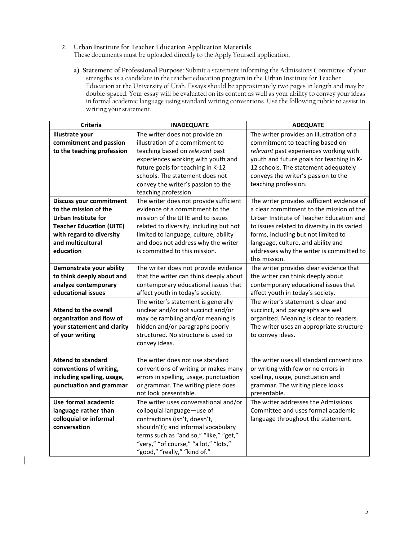**2. Urban Institute for Teacher Education Application Materials**

 $\overline{\phantom{a}}$ 

These documents must be uploaded directly to the Apply Yourself application.

**a). Statement of Professional Purpose:** Submit a statement informing the Admissions Committee of your strengths as a candidate in the teacher education program in the Urban Institute for Teacher Education at the University of Utah. Essays should be approximately two pages in length and may be double-spaced. Your essay will be evaluated on its content as well as your ability to convey your ideas in formal academic language using standard writing conventions. Use the following rubric to assist in writing your statement.

| <b>Criteria</b>                 | <b>INADEQUATE</b>                       | <b>ADEQUATE</b>                              |
|---------------------------------|-----------------------------------------|----------------------------------------------|
| <b>Illustrate your</b>          | The writer does not provide an          | The writer provides an illustration of a     |
| commitment and passion          | illustration of a commitment to         | commitment to teaching based on              |
| to the teaching profession      | teaching based on relevant past         | relevant past experiences working with       |
|                                 | experiences working with youth and      | youth and future goals for teaching in K-    |
|                                 | future goals for teaching in K-12       | 12 schools. The statement adequately         |
|                                 | schools. The statement does not         | conveys the writer's passion to the          |
|                                 | convey the writer's passion to the      | teaching profession.                         |
|                                 | teaching profession.                    |                                              |
| <b>Discuss your commitment</b>  | The writer does not provide sufficient  | The writer provides sufficient evidence of   |
| to the mission of the           | evidence of a commitment to the         | a clear commitment to the mission of the     |
| <b>Urban Institute for</b>      | mission of the UITE and to issues       | Urban Institute of Teacher Education and     |
| <b>Teacher Education (UITE)</b> | related to diversity, including but not | to issues related to diversity in its varied |
| with regard to diversity        | limited to language, culture, ability   | forms, including but not limited to          |
| and multicultural               | and does not address why the writer     | language, culture, and ability and           |
| education                       | is committed to this mission.           | addresses why the writer is committed to     |
|                                 |                                         | this mission.                                |
| Demonstrate your ability        | The writer does not provide evidence    | The writer provides clear evidence that      |
| to think deeply about and       | that the writer can think deeply about  | the writer can think deeply about            |
| analyze contemporary            | contemporary educational issues that    | contemporary educational issues that         |
| educational issues              | affect youth in today's society.        | affect youth in today's society.             |
|                                 | The writer's statement is generally     | The writer's statement is clear and          |
| <b>Attend to the overall</b>    | unclear and/or not succinct and/or      | succinct, and paragraphs are well            |
| organization and flow of        | may be rambling and/or meaning is       | organized. Meaning is clear to readers.      |
| your statement and clarity      | hidden and/or paragraphs poorly         | The writer uses an appropriate structure     |
| of your writing                 | structured. No structure is used to     | to convey ideas.                             |
|                                 | convey ideas.                           |                                              |
|                                 |                                         |                                              |
| <b>Attend to standard</b>       | The writer does not use standard        | The writer uses all standard conventions     |
| conventions of writing,         | conventions of writing or makes many    | or writing with few or no errors in          |
| including spelling, usage,      | errors in spelling, usage, punctuation  | spelling, usage, punctuation and             |
| punctuation and grammar         | or grammar. The writing piece does      | grammar. The writing piece looks             |
|                                 | not look presentable.                   | presentable.                                 |
| Use formal academic             | The writer uses conversational and/or   | The writer addresses the Admissions          |
| language rather than            | colloquial language-use of              | Committee and uses formal academic           |
| colloquial or informal          | contractions (isn't, doesn't,           | language throughout the statement.           |
| conversation                    | shouldn't); and informal vocabulary     |                                              |
|                                 | terms such as "and so," "like," "get,"  |                                              |
|                                 | "very," "of course," "a lot," "lots,"   |                                              |
|                                 | "good," "really," "kind of."            |                                              |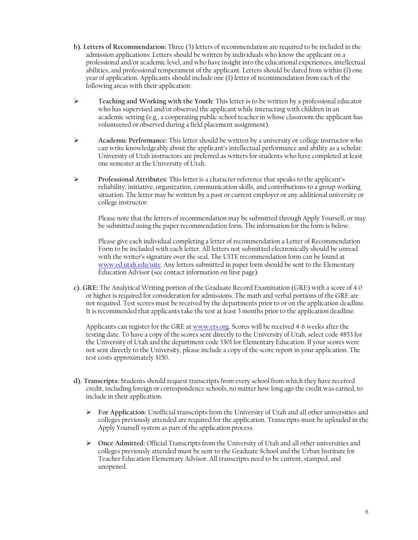- **b). Letters of Recommendation:** Three (3) letters of recommendation are required to be included in the admission applications. Letters should be written by individuals who know the applicant on a professional and/or academic level, and who have insight into the educational experiences, intellectual abilities, and professional temperament of the applicant. Letters should be dated from within (1) one year of application. Applicants should include one (1) letter of recommendation from each of the following areas with their application:
- **Teaching and Working with the Youth:** This letter is to be written by a professional educator who has supervised and/or observed the applicant while interacting with children in an academic setting (e.g., a cooperating public school teacher in whose classroom the applicant has volunteered or observed during a field placement assignment).
- **Academic Performance:** This letter should be written by a university or college instructor who can write knowledgeably about the applicant's intellectual performance and ability as a scholar. University of Utah instructors are preferred as writers for students who have completed at least one semester at the University of Utah.
- **Professional Attributes:** This letter is a character reference that speaks to the applicant's reliability, initiative, organization, communication skills, and contributions to a group working situation. The letter may be written by a past or current employer or any additional university or college instructor.

Please note that the letters of recommendation may be submitted through Apply Yourself, or may be submitted using the paper recommendation form. The information for the form is below.

Please give each individual completing a letter of recommendation a Letter of Recommendation Form to be included with each letter. All letters not submitted electronically should be unread with the writer's signature over the seal. The UITE recommendation form can be found at [www.ed.utah.edu/uite. A](http://www.ed.utah.edu/uite)ny letters submitted in paper form should be sent to the Elementary Education Advisor (see contact information on first page).

**c). GRE:** The Analytical Writing portion of the Graduate Record Examination (GRE) with a score of 4.0 or higher is required for consideration for admissions. The math and verbal portions of the GRE are not required. Test scores must be received by the departments prior to or on the application deadline. It is recommended that applicants take the test at least 3 months prior to the application deadline.

Applicants can register for the GRE a[t www.ets.org.](http://www.ets.org/) Scores will be received 4-6 weeks after the testing date. To have a copy of the scores sent directly to the University of Utah, select code 4853 for the University of Utah and the department code 3301 for Elementary Education. If your scores were not sent directly to the University, please include a copy of the score report in your application. The test costs approximately \$150.

- **d). Transcripts:** Students should request transcripts from every school from which they have received credit, including foreign or correspondence schools, no matter how long ago the credit was earned, to include in their application.
	- **For Application:** Unofficial transcripts from the University of Utah and all other universities and colleges previously attended are required for the application. Transcripts must be uploaded in the Apply Yourself system as part of the application process.
	- **Once Admitted:** Official Transcripts from the University of Utah and all other universities and colleges previously attended must be sent to the Graduate School and the Urban Institute for Teacher Education Elementary Advisor. All transcripts need to be current, stamped, and unopened.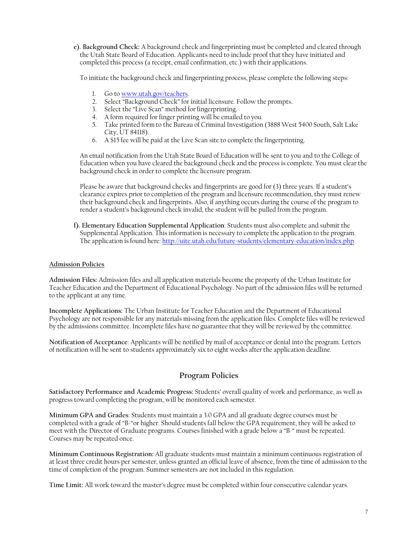**e). Background Check:** A background check and fingerprinting must be completed and cleared through the Utah State Board of Education. Applicants need to include proof that they have initiated and completed this process (a receipt, email confirmation, etc.) with their applications.

To initiate the background check and fingerprinting process, please complete the following steps:

- 1. Go to [www.utah.gov/teachers.](http://www.utah.gov/teachers)
- 2. Select "Background Check" for initial licensure. Follow the prompts.
- 3. Select the "Live Scan" method for fingerprinting.
- 4. A form required for finger printing will be emailed to you.
- 5. Take printed form to the Bureau of Criminal Investigation (3888 West 5400 South, Salt Lake City, UT 84118).
- 6. A \$15 fee will be paid at the Live Scan site to complete the fingerprinting.

An email notification from the Utah State Board of Education will be sent to you and to the College of Education when you have cleared the background check and the process is complete. You must clear the background check in order to complete the licensure program.

Please be aware that background checks and fingerprints are good for (3) three years. If a student's clearance expires prior to completion of the program and licensure recommendation, they must renew their background check and fingerprints. Also, if anything occurs during the course of the program to render a student's background check invalid, the student will be pulled from the program.

**f). Elementary Education Supplemental Application**: Students must also complete and submit the Supplemental Application. This information is necessary to complete the application to the program. The application isfound here: <http://uite.utah.edu/future-students/elementary-education/index.php>

#### **Admission Policies**

**Admission Files:** Admission files and all application materials become the property of the Urban Institute for Teacher Education and the Department of Educational Psychology. No part of the admission files will be returned to the applicant at any time.

**Incomplete Applications:** The Urban Institute for Teacher Education and the Department of Educational Psychology are not responsible for any materials missing from the application files. Complete files will be reviewed by the admissions committee. Incomplete files have no guarantee that they will be reviewed by the committee.

**Notification of Acceptance**: Applicants will be notified by mail of acceptance or denial into the program. Letters of notification will be sent to students approximately six to eight weeks after the application deadline.

# **Program Policies**

**Satisfactory Performance and Academic Progress:** Students' overall quality of work and performance, as well as progress toward completing the program, will be monitored each semester.

**Minimum GPA and Grades**: Students must maintain a 3.0 GPA and all graduate degree courses must be completed with a grade of "B-"or higher. Should students fall below the GPA requirement, they will be asked to meet with the Director of Graduate programs. Courses finished with a grade below a "B-" must be repeated. Courses may be repeated once.

**Minimum Continuous Registration:** All graduate students must maintain a minimum continuous registration of at least three credit hours per semester, unless granted an official leave of absence, from the time of admission to the time of completion of the program. Summer semesters are not included in this regulation.

**Time Limit:** All work toward the master's degree must be completed within four consecutive calendar years.